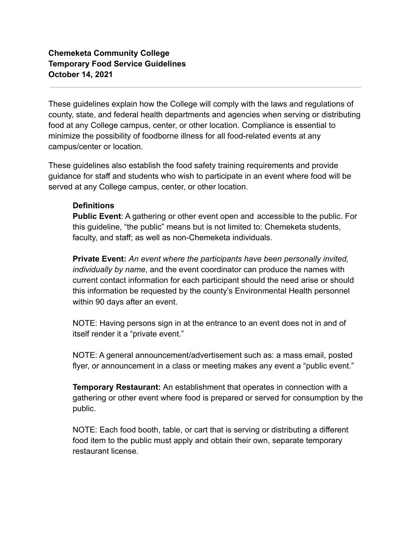## **Chemeketa Community College Temporary Food Service Guidelines October 14, 2021**

These guidelines explain how the College will comply with the laws and regulations of county, state, and federal health departments and agencies when serving or distributing food at any College campus, center, or other location. Compliance is essential to minimize the possibility of foodborne illness for all food-related events at any campus/center or location.

These guidelines also establish the food safety training requirements and provide guidance for staff and students who wish to participate in an event where food will be served at any College campus, center, or other location.

#### **Definitions**

**Public Event**: A gathering or other event open and accessible to the public. For this guideline, "the public" means but is not limited to: Chemeketa students, faculty, and staff; as well as non-Chemeketa individuals.

**Private Event:** *An event where the participants have been personally invited, individually by name*, and the event coordinator can produce the names with current contact information for each participant should the need arise or should this information be requested by the county's Environmental Health personnel within 90 days after an event.

NOTE: Having persons sign in at the entrance to an event does not in and of itself render it a "private event."

NOTE: A general announcement/advertisement such as: a mass email, posted flyer, or announcement in a class or meeting makes any event a "public event."

**Temporary Restaurant:** An establishment that operates in connection with a gathering or other event where food is prepared or served for consumption by the public.

NOTE: Each food booth, table, or cart that is serving or distributing a different food item to the public must apply and obtain their own, separate temporary restaurant license.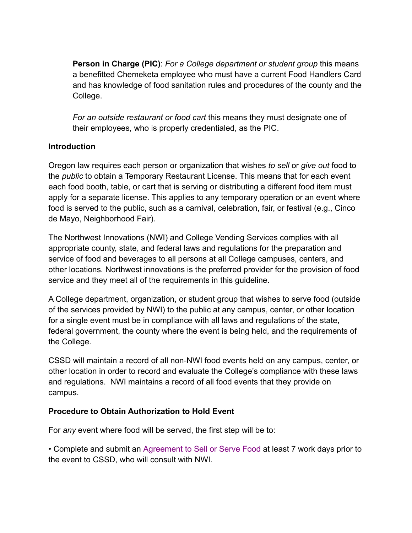**Person in Charge (PIC)**: *For a College department or student group* this means a benefitted Chemeketa employee who must have a current Food Handlers Card and has knowledge of food sanitation rules and procedures of the county and the College.

*For an outside restaurant or food cart* this means they must designate one of their employees, who is properly credentialed, as the PIC.

### **Introduction**

Oregon law requires each person or organization that wishes *to sell* or *give out* food to the *public* to obtain a Temporary Restaurant License. This means that for each event each food booth, table, or cart that is serving or distributing a different food item must apply for a separate license. This applies to any temporary operation or an event where food is served to the public, such as a carnival, celebration, fair, or festival (e.g., Cinco de Mayo, Neighborhood Fair).

The Northwest Innovations (NWI) and College Vending Services complies with all appropriate county, state, and federal laws and regulations for the preparation and service of food and beverages to all persons at all College campuses, centers, and other locations*.* Northwest innovations is the preferred provider for the provision of food service and they meet all of the requirements in this guideline.

A College department, organization, or student group that wishes to serve food (outside of the services provided by NWI) to the public at any campus, center, or other location for a single event must be in compliance with all laws and regulations of the state, federal government, the county where the event is being held, and the requirements of the College.

CSSD will maintain a record of all non-NWI food events held on any campus, center, or other location in order to record and evaluate the College's compliance with these laws and regulations. NWI maintains a record of all food events that they provide on campus.

### **Procedure to Obtain Authorization to Hold Event**

For *any* event where food will be served, the first step will be to:

• Complete and submit an Agreement to Sell or Serve Food at least 7 work days prior to the event to CSSD, who will consult with NWI.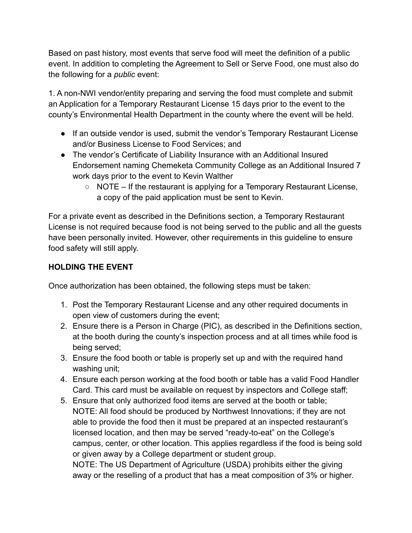Based on past history, most events that serve food will meet the definition of a public event. In addition to completing the Agreement to Sell or Serve Food, one must also do the following for a *public* event:

1. A non-NWI vendor/entity preparing and serving the food must complete and submit an Application for a Temporary Restaurant License 15 days prior to the event to the county's Environmental Health Department in the county where the event will be held.

- If an outside vendor is used, submit the vendor's Temporary Restaurant License and/or Business License to Food Services; and
- The vendor's Certificate of Liability Insurance with an Additional Insured Endorsement naming Chemeketa Community College as an Additional Insured 7 work days prior to the event to Kevin Walther
	- $\circ$  NOTE If the restaurant is applying for a Temporary Restaurant License, a copy of the paid application must be sent to Kevin.

For a private event as described in the Definitions section, a Temporary Restaurant License is not required because food is not being served to the public and all the guests have been personally invited. However, other requirements in this guideline to ensure food safety will still apply.

# **HOLDING THE EVENT**

Once authorization has been obtained, the following steps must be taken:

- 1. Post the Temporary Restaurant License and any other required documents in open view of customers during the event;
- 2. Ensure there is a Person in Charge (PIC), as described in the Definitions section, at the booth during the county's inspection process and at all times while food is being served;
- 3. Ensure the food booth or table is properly set up and with the required hand washing unit;
- 4. Ensure each person working at the food booth or table has a valid Food Handler Card. This card must be available on request by inspectors and College staff;
- 5. Ensure that only authorized food items are served at the booth or table; NOTE: All food should be produced by Northwest Innovations; if they are not able to provide the food then it must be prepared at an inspected restaurant's licensed location, and then may be served "ready-to-eat" on the College's campus, center, or other location. This applies regardless if the food is being sold or given away by a College department or student group.

NOTE: The US Department of Agriculture (USDA) prohibits either the giving away or the reselling of a product that has a meat composition of 3% or higher.